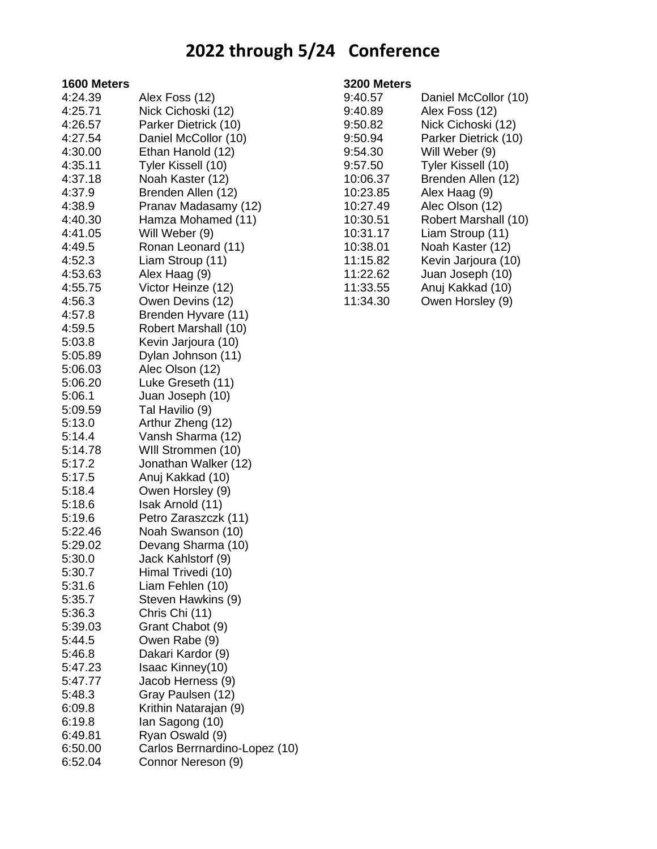# **2022 through 5/24 Conference**

#### **1600 Meters**

| 4:24.39            | Alex Foss (12)                                                                                                    |
|--------------------|-------------------------------------------------------------------------------------------------------------------|
| 4:25.71            | Nick Cichoski (12)                                                                                                |
| 4:26.57            | Parker Dietrick (10)                                                                                              |
| 4:27.54            | Daniel McCollor (10)                                                                                              |
| 4:30.00            | Ethan Hanold (12)                                                                                                 |
| 4:35.11            | Tyler Kissell (10)                                                                                                |
| 4:37.18            | Noah Kaster (12)                                                                                                  |
| 4:37.9             | Brenden Allen (12)                                                                                                |
| 4:38.9             | Pranav Madasamy (12)                                                                                              |
| 4:40.30            | Hamza Mohamed (11)                                                                                                |
| 4:41.05            | Will Weber (9)                                                                                                    |
| 4:49.5             | Ronan Leonard (11)                                                                                                |
| 4:52.3             | Liam Stroup (11)                                                                                                  |
| 4:53.63            | Alex Haag (9)                                                                                                     |
| 4:55.75            | Victor Heinze (12)                                                                                                |
| 4:56.3             | Owen Devins (12)                                                                                                  |
| 4:57.8             | Brenden Hyvare (11)                                                                                               |
| 4:59.5             | Robert Marshall (10)                                                                                              |
| 5:03.8             |                                                                                                                   |
| 5:05.89            | Kevin Jarjoura (10)                                                                                               |
| 5:06.03            | Dylan Johnson (11)                                                                                                |
|                    | Alec Olson (12)                                                                                                   |
| 5:06.20            | Luke Greseth (11)                                                                                                 |
| 5:06.1             | Juan Joseph (10)                                                                                                  |
| 5:09.59            | Tal Havilio (9)                                                                                                   |
| 5:13.0             | Arthur Zheng (12)                                                                                                 |
| 5:14.4             | Vansh Sharma (12)                                                                                                 |
| 5:14.78            | WIII Strommen (10)                                                                                                |
| 5:17.2             | Jonathan Walker (12)                                                                                              |
| 5:17.5             | Anuj Kakkad (10)                                                                                                  |
| 5:18.4             | Owen Horsley (9)                                                                                                  |
| 5:18.6             | Isak Arnold (11)                                                                                                  |
| 5:19.6             | Petro Zaraszczk (11)                                                                                              |
| 5:22.46            | Noah Swanson (10)                                                                                                 |
| 5:29.02            | Devang Sharma (10)                                                                                                |
| 5:30.0             | Jack Kahlstorf (9)                                                                                                |
| 5:30.7             | Himal Trivedi (10)                                                                                                |
| 5:31.6             | Liam Fehlen (10)                                                                                                  |
| 5:35.7             | Steven Hawkins (9)                                                                                                |
| 5:36.3             | Chris Chi (11)                                                                                                    |
| 5:39.03            | Grant Chabot (9)                                                                                                  |
| 5:44.5             | Owen Rabe (9)                                                                                                     |
| 5:46.8             | Dakari Kardor (9)                                                                                                 |
| 5:47.23            | Isaac Kinney(10)                                                                                                  |
| 5:47.77            | Jacob Herness (9)                                                                                                 |
| 5:48.3             |                                                                                                                   |
| 6:09.8             |                                                                                                                   |
| 6:19.8             |                                                                                                                   |
|                    |                                                                                                                   |
|                    |                                                                                                                   |
| 6:52.04            | Connor Nereson (9)                                                                                                |
| 6:49.81<br>6:50.00 | Gray Paulsen (12)<br>Krithin Natarajan (9)<br>lan Sagong (10)<br>Ryan Oswald (9)<br>Carlos Berrnardino-Lopez (10) |

### **3200 Meters**

| 9:40.57  | Daniel McCollor (10) |
|----------|----------------------|
| 9:40.89  | Alex Foss (12)       |
| 9:50.82  | Nick Cichoski (12)   |
| 9:50.94  | Parker Dietrick (10) |
| 9:54.30  | Will Weber (9)       |
| 9:57.50  | Tyler Kissell (10)   |
| 10:06.37 | Brenden Allen (12)   |
| 10:23.85 | Alex Haag (9)        |
| 10:27.49 | Alec Olson (12)      |
| 10:30.51 | Robert Marshall (10) |
| 10:31.17 | Liam Stroup (11)     |
| 10:38.01 | Noah Kaster (12)     |
| 11:15.82 | Kevin Jarjoura (10)  |
| 11:22.62 | Juan Joseph (10)     |
| 11:33.55 | Anuj Kakkad (10)     |
| 11:34.30 | Owen Horsley (9)     |
|          |                      |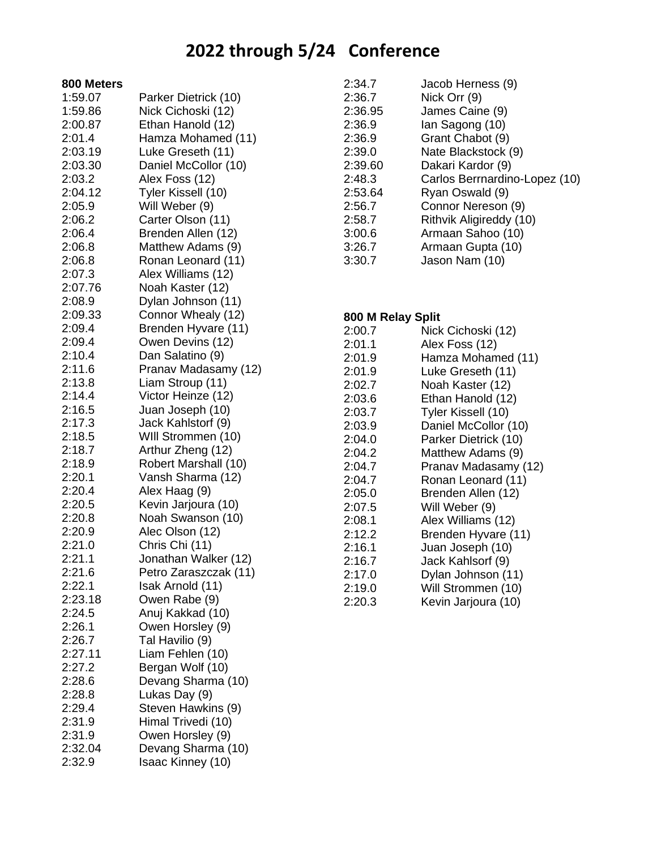# **2022 through 5/24 Conference**

|  | 800 Meters |
|--|------------|
|--|------------|

| 1:59.07          | Parker Dietrick (10)  |
|------------------|-----------------------|
| 1:59.86          | Nick Cichoski (12)    |
| 2:00.87          | Ethan Hanold (12)     |
| 2:01.4           | Hamza Mohamed (11)    |
| 2:03.19          | Luke Greseth (11)     |
| 2:03.30          | Daniel McCollor (10)  |
| 2:03.2           | Alex Foss (12)        |
| 2:04.12          | Tyler Kissell (10)    |
| 2:05.9           | Will Weber (9)        |
| 2:06.2           | Carter Olson (11)     |
| 2:06.4           | Brenden Allen (12)    |
| 2:06.8           | Matthew Adams (9)     |
| 2:06.8           | Ronan Leonard (11)    |
| 2:07.3           | Alex Williams (12)    |
| 2:07.76          | Noah Kaster (12)      |
| 2:08.9           | Dylan Johnson (11)    |
| 2:09.33          | Connor Whealy (12)    |
| 2:09.4           | Brenden Hyvare (11)   |
| 2:09.4           | Owen Devins (12)      |
| 2:10.4           | Dan Salatino (9)      |
| 2:11.6           | Pranav Madasamy (12)  |
| 2:13.8           | Liam Stroup (11)      |
| 2:14.4           | Victor Heinze (12)    |
| 2:16.5           | Juan Joseph (10)      |
| 2:17.3           | Jack Kahlstorf (9)    |
| 2:18.5           | WIII Strommen (10)    |
| 2:18.7           | Arthur Zheng (12)     |
| 2:18.9           | Robert Marshall (10)  |
| 2:20.1           | Vansh Sharma (12)     |
| 2:20.4           |                       |
|                  | Alex Haag (9)         |
| 2:20.5<br>2:20.8 | Kevin Jarjoura (10)   |
|                  | Noah Swanson (10)     |
| 2:20.9           | Alec Olson (12)       |
| 2:21.0           | Chris Chi (11)        |
| 2:21.1           | Jonathan Walker (12)  |
| 2:21.6           | Petro Zaraszczak (11) |
| 2:22.1           | Isak Arnold (11)      |
| 2:23.18          | Owen Rabe (9)         |
| 2:24.5           | Anuj Kakkad (10)      |
| 2:26.1           | Owen Horsley (9)      |
| 2:26.7           | Tal Havilio (9)       |
| 2:27.11          | Liam Fehlen (10)      |
| 2:27.2           | Bergan Wolf (10)      |
| 2:28.6           | Devang Sharma (10)    |
| 2:28.8           | Lukas Day (9)         |
| 2:29.4           | Steven Hawkins (9)    |
| 2:31.9           | Himal Trivedi (10)    |
| 2:31.9           | Owen Horsley (9)      |
| 2:32.04          | Devang Sharma (10)    |
| 2:32.9           | Isaac Kinney (10)     |

| 2:34.7  | Jacob Herness (9)             |
|---------|-------------------------------|
| 2:36.7  | Nick Orr (9)                  |
| 2:36.95 | James Caine (9)               |
| 2:36.9  | lan Sagong (10)               |
| 2:36.9  | Grant Chabot (9)              |
| 2:39.0  | Nate Blackstock (9)           |
| 2:39.60 | Dakari Kardor (9)             |
| 2:48.3  | Carlos Berrnardino-Lopez (10) |
| 2:53.64 | Ryan Oswald (9)               |
| 2:56.7  | Connor Nereson (9)            |
| 2:58.7  | Rithvik Aligireddy (10)       |
| 3:00.6  | Armaan Sahoo (10)             |
| 3:26.7  | Armaan Gupta (10)             |
| 3:30.7  | Jason Nam (10)                |
|         |                               |

### **800 M Relay Split**

| 2:00.7 | Nick Cichoski (12)   |
|--------|----------------------|
| 2:01.1 | Alex Foss (12)       |
| 2:01.9 | Hamza Mohamed (11)   |
| 2:01.9 | Luke Greseth (11)    |
| 2:02.7 | Noah Kaster (12)     |
| 2:03.6 | Ethan Hanold (12)    |
| 2:03.7 | Tyler Kissell (10)   |
| 2:03.9 | Daniel McCollor (10) |
| 2:04.0 | Parker Dietrick (10) |
| 2:04.2 | Matthew Adams (9)    |
| 2:04.7 | Pranav Madasamy (12) |
| 2:04.7 | Ronan Leonard (11)   |
| 2:05.0 | Brenden Allen (12)   |
| 2:07.5 | Will Weber (9)       |
| 2:08.1 | Alex Williams (12)   |
| 2:12.2 | Brenden Hyvare (11)  |
| 2:16.1 | Juan Joseph (10)     |
| 2:16.7 | Jack Kahlsorf (9)    |
| 2:17.0 | Dylan Johnson (11)   |
| 2:19.0 | Will Strommen (10)   |
| 2:20.3 | Kevin Jarjoura (10)  |